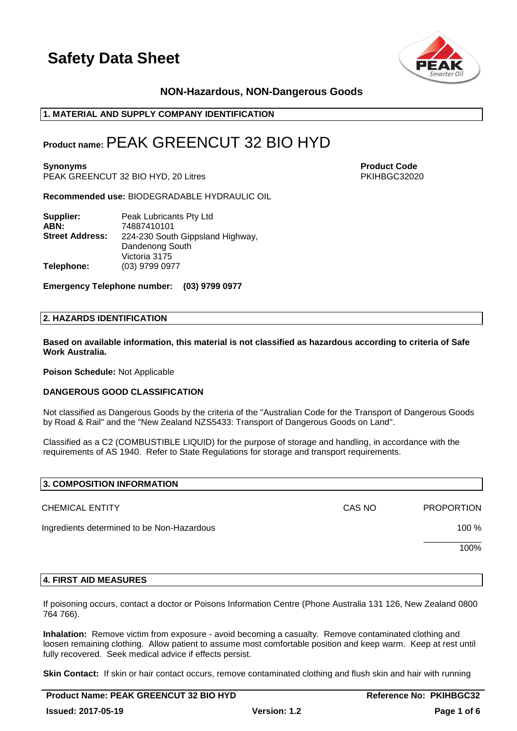



## **NON-Hazardous, NON-Dangerous Goods**

## **1. MATERIAL AND SUPPLY COMPANY IDENTIFICATION**

## **Product name:**PEAK GREENCUT 32 BIO HYD

**Synonyms Product Code** PEAK GREENCUT 32 BIO HYD, 20 Litres PHOTO AND THE PRIME PRIME PRIME PRIME PRIME PRIME PRIME PRIME PRIME PRIME PRIME PRIME PRIME PRIME PRIME PRIME PRIME PRIME PRIME PRIME PRIME PRIME PRIME PRIME PRIME PRIME PRIME PRIME PRIM

**Recommended use:** BIODEGRADABLE HYDRAULIC OIL

| Supplier:              | Peak Lubricants Pty Ltd          |
|------------------------|----------------------------------|
| ABN:                   | 74887410101                      |
| <b>Street Address:</b> | 224-230 South Gippsland Highway, |
|                        | Dandenong South                  |
|                        | Victoria 3175                    |
| Telephone:             | (03) 9799 0977                   |

**Emergency Telephone number: (03) 9799 0977**

#### **2. HAZARDS IDENTIFICATION**

**Based on available information, this material is not classified as hazardous according to criteria of Safe Work Australia.**

**Poison Schedule:** Not Applicable

#### **DANGEROUS GOOD CLASSIFICATION**

Not classified as Dangerous Goods by the criteria of the "Australian Code for the Transport of Dangerous Goods by Road & Rail" and the "New Zealand NZS5433: Transport of Dangerous Goods on Land".

Classified as a C2 (COMBUSTIBLE LIQUID) for the purpose of storage and handling, in accordance with the requirements of AS 1940. Refer to State Regulations for storage and transport requirements.

| 3. COMPOSITION INFORMATION                 |        |                   |
|--------------------------------------------|--------|-------------------|
| <b>CHEMICAL ENTITY</b>                     | CAS NO | <b>PROPORTION</b> |
| Ingredients determined to be Non-Hazardous |        | 100 %             |
|                                            |        | 100%              |
|                                            |        |                   |

#### **4. FIRST AID MEASURES**

If poisoning occurs, contact a doctor or Poisons Information Centre (Phone Australia 131 126, New Zealand 0800 764 766).

**Inhalation:** Remove victim from exposure - avoid becoming a casualty. Remove contaminated clothing and loosen remaining clothing. Allow patient to assume most comfortable position and keep warm. Keep at rest until fully recovered. Seek medical advice if effects persist.

**Skin Contact:** If skin or hair contact occurs, remove contaminated clothing and flush skin and hair with running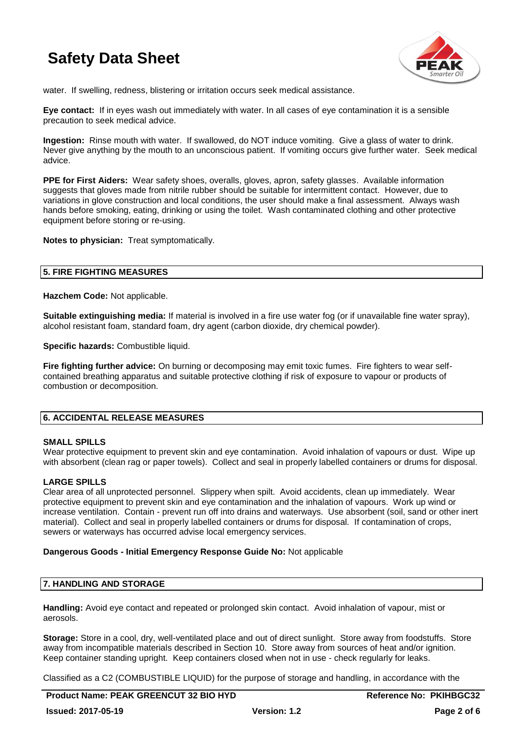

water. If swelling, redness, blistering or irritation occurs seek medical assistance.

**Eye contact:** If in eyes wash out immediately with water. In all cases of eye contamination it is a sensible precaution to seek medical advice.

**Ingestion:** Rinse mouth with water. If swallowed, do NOT induce vomiting. Give a glass of water to drink. Never give anything by the mouth to an unconscious patient. If vomiting occurs give further water. Seek medical advice.

**PPE for First Aiders:** Wear safety shoes, overalls, gloves, apron, safety glasses. Available information suggests that gloves made from nitrile rubber should be suitable for intermittent contact. However, due to variations in glove construction and local conditions, the user should make a final assessment. Always wash hands before smoking, eating, drinking or using the toilet. Wash contaminated clothing and other protective equipment before storing or re-using.

**Notes to physician:** Treat symptomatically.

## **5. FIRE FIGHTING MEASURES**

**Hazchem Code:** Not applicable.

**Suitable extinguishing media:** If material is involved in a fire use water fog (or if unavailable fine water spray), alcohol resistant foam, standard foam, dry agent (carbon dioxide, dry chemical powder).

**Specific hazards: Combustible liquid.** 

**Fire fighting further advice:** On burning or decomposing may emit toxic fumes. Fire fighters to wear selfcontained breathing apparatus and suitable protective clothing if risk of exposure to vapour or products of combustion or decomposition.

## **6. ACCIDENTAL RELEASE MEASURES**

#### **SMALL SPILLS**

Wear protective equipment to prevent skin and eye contamination. Avoid inhalation of vapours or dust. Wipe up with absorbent (clean rag or paper towels). Collect and seal in properly labelled containers or drums for disposal.

## **LARGE SPILLS**

Clear area of all unprotected personnel. Slippery when spilt. Avoid accidents, clean up immediately. Wear protective equipment to prevent skin and eye contamination and the inhalation of vapours. Work up wind or increase ventilation. Contain - prevent run off into drains and waterways. Use absorbent (soil, sand or other inert material). Collect and seal in properly labelled containers or drums for disposal. If contamination of crops, sewers or waterways has occurred advise local emergency services.

#### **Dangerous Goods - Initial Emergency Response Guide No:** Not applicable

## **7. HANDLING AND STORAGE**

**Handling:** Avoid eye contact and repeated or prolonged skin contact. Avoid inhalation of vapour, mist or aerosols.

**Storage:** Store in a cool, dry, well-ventilated place and out of direct sunlight. Store away from foodstuffs. Store away from incompatible materials described in Section 10. Store away from sources of heat and/or ignition. Keep container standing upright. Keep containers closed when not in use - check regularly for leaks.

Classified as a C2 (COMBUSTIBLE LIQUID) for the purpose of storage and handling, in accordance with the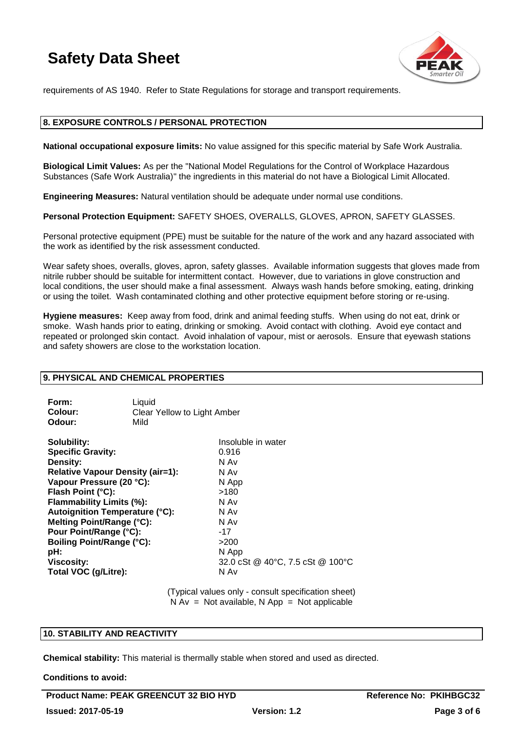

requirements of AS 1940. Refer to State Regulations for storage and transport requirements.

## **8. EXPOSURE CONTROLS / PERSONAL PROTECTION**

**National occupational exposure limits:** No value assigned for this specific material by Safe Work Australia.

**Biological Limit Values:** As per the "National Model Regulations for the Control of Workplace Hazardous Substances (Safe Work Australia)" the ingredients in this material do not have a Biological Limit Allocated.

**Engineering Measures:** Natural ventilation should be adequate under normal use conditions.

**Personal Protection Equipment:** SAFETY SHOES, OVERALLS, GLOVES, APRON, SAFETY GLASSES.

Personal protective equipment (PPE) must be suitable for the nature of the work and any hazard associated with the work as identified by the risk assessment conducted.

Wear safety shoes, overalls, gloves, apron, safety glasses. Available information suggests that gloves made from nitrile rubber should be suitable for intermittent contact. However, due to variations in glove construction and local conditions, the user should make a final assessment. Always wash hands before smoking, eating, drinking or using the toilet. Wash contaminated clothing and other protective equipment before storing or re-using.

**Hygiene measures:** Keep away from food, drink and animal feeding stuffs. When using do not eat, drink or smoke. Wash hands prior to eating, drinking or smoking. Avoid contact with clothing. Avoid eye contact and repeated or prolonged skin contact. Avoid inhalation of vapour, mist or aerosols. Ensure that eyewash stations and safety showers are close to the workstation location.

## **9. PHYSICAL AND CHEMICAL PROPERTIES**

| Form:   | Liauid                      |
|---------|-----------------------------|
| Colour: | Clear Yellow to Light Amber |
| Odour:  | Mild                        |

| Insoluble in water               |
|----------------------------------|
| 0.916                            |
| N Av                             |
| N Av                             |
| N App                            |
| >180                             |
| N Av                             |
| N Av                             |
| N Av                             |
| $-17$                            |
| >200                             |
| N App                            |
| 32.0 cSt @ 40°C, 7.5 cSt @ 100°C |
| N Av                             |
|                                  |

(Typical values only - consult specification sheet)  $N Av = Not available, N App = Not applicable$ 

## **10. STABILITY AND REACTIVITY**

**Chemical stability:** This material is thermally stable when stored and used as directed.

**Conditions to avoid:**

**Product Name: PEAK GREENCUT 32 BIO HYD Reference No: PKIHBGC32 Issued: 2017-05-19 Version: 1.2 Page 3 of 6**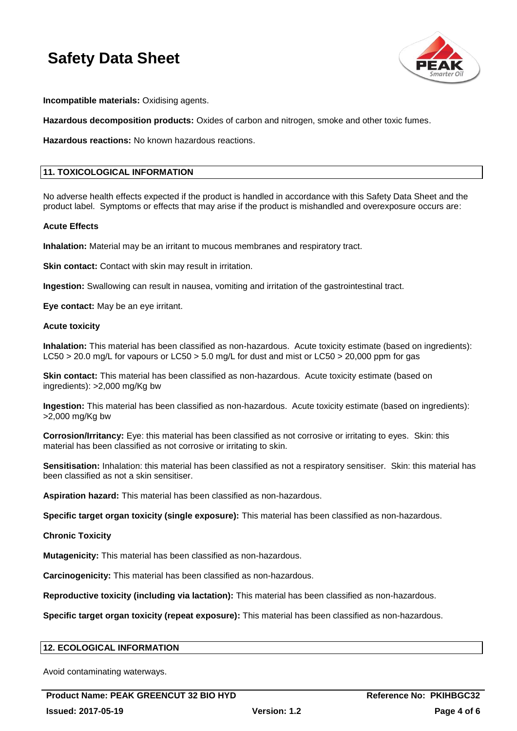

**Incompatible materials:** Oxidising agents.

**Hazardous decomposition products:** Oxides of carbon and nitrogen, smoke and other toxic fumes.

**Hazardous reactions:** No known hazardous reactions.

## **11. TOXICOLOGICAL INFORMATION**

No adverse health effects expected if the product is handled in accordance with this Safety Data Sheet and the product label. Symptoms or effects that may arise if the product is mishandled and overexposure occurs are:

#### **Acute Effects**

**Inhalation:** Material may be an irritant to mucous membranes and respiratory tract.

**Skin contact:** Contact with skin may result in irritation.

**Ingestion:** Swallowing can result in nausea, vomiting and irritation of the gastrointestinal tract.

**Eye contact:** May be an eye irritant.

#### **Acute toxicity**

**Inhalation:** This material has been classified as non-hazardous. Acute toxicity estimate (based on ingredients): LC50 > 20.0 mg/L for vapours or LC50 > 5.0 mg/L for dust and mist or LC50 > 20,000 ppm for gas

**Skin contact:** This material has been classified as non-hazardous. Acute toxicity estimate (based on ingredients): >2,000 mg/Kg bw

**Ingestion:** This material has been classified as non-hazardous. Acute toxicity estimate (based on ingredients): >2,000 mg/Kg bw

**Corrosion/Irritancy:** Eye: this material has been classified as not corrosive or irritating to eyes. Skin: this material has been classified as not corrosive or irritating to skin.

**Sensitisation:** Inhalation: this material has been classified as not a respiratory sensitiser. Skin: this material has been classified as not a skin sensitiser.

**Aspiration hazard:** This material has been classified as non-hazardous.

**Specific target organ toxicity (single exposure):** This material has been classified as non-hazardous.

**Chronic Toxicity**

**Mutagenicity:** This material has been classified as non-hazardous.

**Carcinogenicity:** This material has been classified as non-hazardous.

**Reproductive toxicity (including via lactation):** This material has been classified as non-hazardous.

**Specific target organ toxicity (repeat exposure):** This material has been classified as non-hazardous.

## **12. ECOLOGICAL INFORMATION**

Avoid contaminating waterways.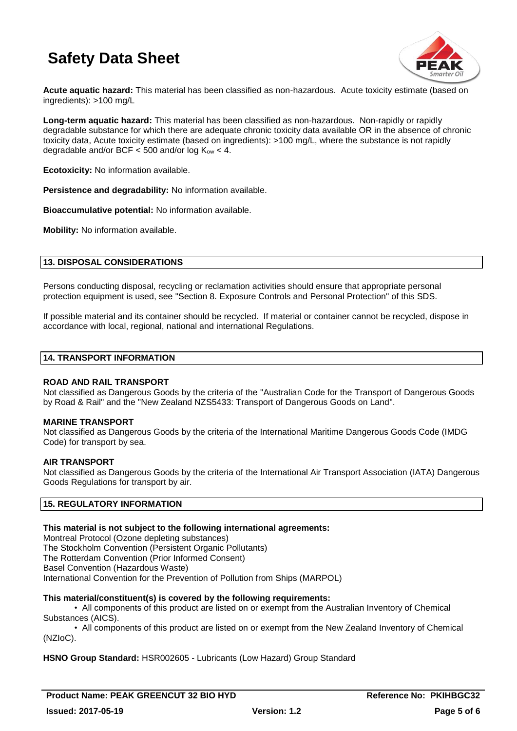

**Acute aquatic hazard:** This material has been classified as non-hazardous. Acute toxicity estimate (based on ingredients): >100 mg/L

**Long-term aquatic hazard:** This material has been classified as non-hazardous. Non-rapidly or rapidly degradable substance for which there are adequate chronic toxicity data available OR in the absence of chronic toxicity data, Acute toxicity estimate (based on ingredients): >100 mg/L, where the substance is not rapidly degradable and/or BCF  $<$  500 and/or log  $K_{ow}$   $<$  4.

**Ecotoxicity:** No information available.

**Persistence and degradability:** No information available.

**Bioaccumulative potential:** No information available.

**Mobility:** No information available.

## **13. DISPOSAL CONSIDERATIONS**

Persons conducting disposal, recycling or reclamation activities should ensure that appropriate personal protection equipment is used, see "Section 8. Exposure Controls and Personal Protection" of this SDS.

If possible material and its container should be recycled. If material or container cannot be recycled, dispose in accordance with local, regional, national and international Regulations.

#### **14. TRANSPORT INFORMATION**

#### **ROAD AND RAIL TRANSPORT**

Not classified as Dangerous Goods by the criteria of the "Australian Code for the Transport of Dangerous Goods by Road & Rail" and the "New Zealand NZS5433: Transport of Dangerous Goods on Land".

#### **MARINE TRANSPORT**

Not classified as Dangerous Goods by the criteria of the International Maritime Dangerous Goods Code (IMDG Code) for transport by sea.

#### **AIR TRANSPORT**

Not classified as Dangerous Goods by the criteria of the International Air Transport Association (IATA) Dangerous Goods Regulations for transport by air.

## **15. REGULATORY INFORMATION**

#### **This material is not subject to the following international agreements:**

Montreal Protocol (Ozone depleting substances) The Stockholm Convention (Persistent Organic Pollutants) The Rotterdam Convention (Prior Informed Consent) Basel Convention (Hazardous Waste) International Convention for the Prevention of Pollution from Ships (MARPOL)

## **This material/constituent(s) is covered by the following requirements:**

• All components of this product are listed on or exempt from the Australian Inventory of Chemical Substances (AICS).

• All components of this product are listed on or exempt from the New Zealand Inventory of Chemical (NZIoC).

## **HSNO Group Standard:** HSR002605 - Lubricants (Low Hazard) Group Standard